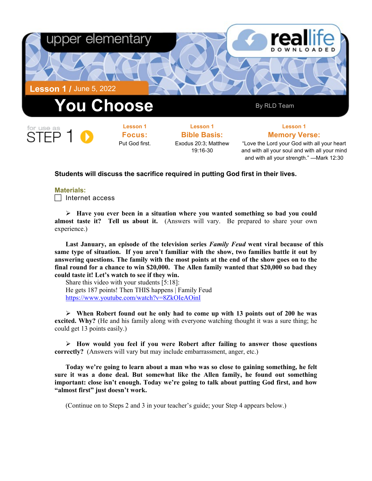

and with all your strength." —Mark 12:30

### **Students will discuss the sacrifice required in putting God first in their lives.**

#### **Materials:**

 $\Box$  Internet access

 **Have you ever been in a situation where you wanted something so bad you could almost taste it? Tell us about it.** (Answers will vary. Be prepared to share your own experience.)

**Last January, an episode of the television series** *Family Feud* **went viral because of this same type of situation. If you aren't familiar with the show, two families battle it out by answering questions. The family with the most points at the end of the show goes on to the final round for a chance to win \$20,000. The Allen family wanted that \$20,000 so bad they could taste it! Let's watch to see if they win.**

Share this video with your students [5:18]: He gets 187 points! Then THIS happens | Family Feud <https://www.youtube.com/watch?v=8ZkOIeAOinI>

 **When Robert found out he only had to come up with 13 points out of 200 he was excited. Why?** (He and his family along with everyone watching thought it was a sure thing; he could get 13 points easily.)

 **How would you feel if you were Robert after failing to answer those questions correctly?** (Answers will vary but may include embarrassment, anger, etc.)

**Today we're going to learn about a man who was so close to gaining something, he felt sure it was a done deal. But somewhat like the Allen family, he found out something important: close isn't enough. Today we're going to talk about putting God first, and how "almost first" just doesn't work.** 

(Continue on to Steps 2 and 3 in your teacher's guide; your Step 4 appears below.)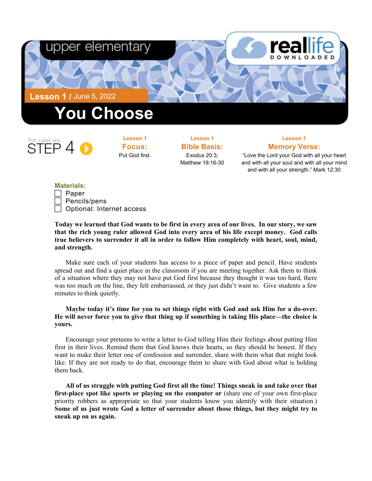



**Lesson 1 Focus:**  Put God first.

**Lesson 1 Bible Basis:** Exodus 20:3; Matthew 19:16-30

# **Lesson 1 Memory Verse:**

"Love the Lord your God with all your heart and with all your soul and with all your mind and with all your strength." Mark 12:30

### **Materials:**

| Paper                     |
|---------------------------|
| Pencils/pens              |
| Optional: Internet access |

**Today we learned that God wants to be first in every area of our lives. In our story, we saw that the rich young ruler allowed God into every area of his life except money. God calls true believers to surrender it all in order to follow Him completely with heart, soul, mind, and strength.** 

Make sure each of your students has access to a piece of paper and pencil. Have students spread out and find a quiet place in the classroom if you are meeting together. Ask them to think of a situation where they may not have put God first because they thought it was too hard, there was too much on the line, they felt embarrassed, or they just didn't want to. Give students a few minutes to think quietly.

## **Maybe today it's time for you to set things right with God and ask Him for a do-over. He will never force you to give that thing up if something is taking His place—the choice is yours.**

Encourage your preteens to write a letter to God telling Him their feelings about putting Him first in their lives. Remind them that God knows their hearts, so they should be honest. If they want to make their letter one of confession and surrender, share with them what that might look like. If they are not ready to do that, encourage them to share with God about what is holding them back.

**All of us struggle with putting God first all the time! Things sneak in and take over that first-place spot like sports or playing on the computer or** (share one of your own first-place priority robbers as appropriate so that your students know you identify with their situation.) **Some of us just wrote God a letter of surrender about those things, but they might try to sneak up on us again.**